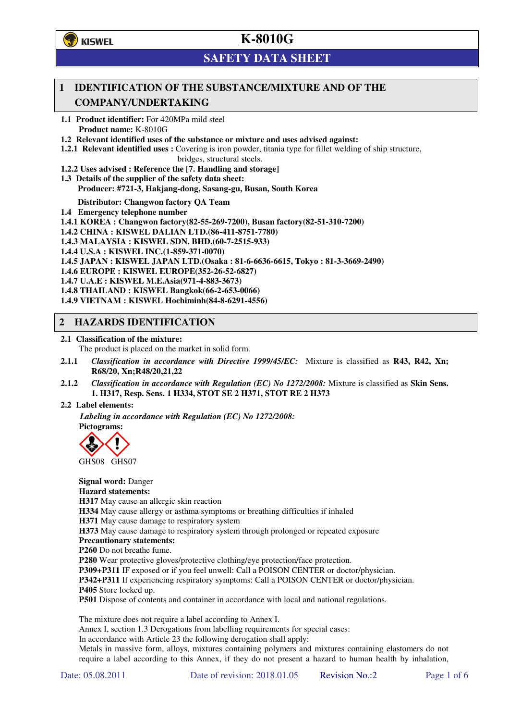

# **K-8010G**

# **SAFETY DATA SHEET**

## **1 IDENTIFICATION OF THE SUBSTANCE/MIXTURE AND OF THE COMPANY/UNDERTAKING**

**1.1 Product identifier:** For 420MPa mild steel **Product name:** K-8010G

**1.2 Relevant identified uses of the substance or mixture and uses advised against:**

**1.2.1 Relevant identified uses :** Covering is iron powder, titania type for fillet welding of ship structure,

bridges, structural steels. **1.2.2 Uses advised : Reference the [7. Handling and storage]** 

**1.3 Details of the supplier of the safety data sheet: Producer: #721-3, Hakjang-dong, Sasang-gu, Busan, South Korea** 

**Distributor: Changwon factory QA Team** 

**1.4 Emergency telephone number**

- **1.4.1 KOREA : Changwon factory(82-55-269-7200), Busan factory(82-51-310-7200)**
- **1.4.2 CHINA : KISWEL DALIAN LTD.(86-411-8751-7780)**
- **1.4.3 MALAYSIA : KISWEL SDN. BHD.(60-7-2515-933)**
- **1.4.4 U.S.A : KISWEL INC.(1-859-371-0070)**
- **1.4.5 JAPAN : KISWEL JAPAN LTD.(Osaka : 81-6-6636-6615, Tokyo : 81-3-3669-2490)**
- **1.4.6 EUROPE : KISWEL EUROPE(352-26-52-6827)**
- **1.4.7 U.A.E : KISWEL M.E.Asia(971-4-883-3673)**
- **1.4.8 THAILAND : KISWEL Bangkok(66-2-653-0066)**

**1.4.9 VIETNAM : KISWEL Hochiminh(84-8-6291-4556)** 

## **2 HAZARDS IDENTIFICATION**

**2.1 Classification of the mixture:** 

The product is placed on the market in solid form.

- **2.1.1** *Classification in accordance with Directive 1999/45/EC:* Mixture is classified as **R43, R42, Xn; R68/20, Xn;R48/20,21,22**
- **2.1.2** *Classification in accordance with Regulation (EC) No 1272/2008:* Mixture is classified as **Skin Sens. 1. H317, Resp. Sens. 1 H334, STOT SE 2 H371, STOT RE 2 H373**

### **2.2 Label elements:**

*Labeling in accordance with Regulation (EC) No 1272/2008:*  **Pictograms:** 



GHS08 GHS07

**Signal word:** Danger **Hazard statements: H317** May cause an allergic skin reaction **H334** May cause allergy or asthma symptoms or breathing difficulties if inhaled **H371** May cause damage to respiratory system **H373** May cause damage to respiratory system through prolonged or repeated exposure **Precautionary statements: P260** Do not breathe fume. **P280** Wear protective gloves/protective clothing/eye protection/face protection. **P309+P311** IF exposed or if you feel unwell: Call a POISON CENTER or doctor/physician. **P342+P311** If experiencing respiratory symptoms: Call a POISON CENTER or doctor/physician. **P405** Store locked up.

**P501** Dispose of contents and container in accordance with local and national regulations.

The mixture does not require a label according to Annex I.

Annex I, section 1.3 Derogations from labelling requirements for special cases:

In accordance with Article 23 the following derogation shall apply:

Metals in massive form, alloys, mixtures containing polymers and mixtures containing elastomers do not require a label according to this Annex, if they do not present a hazard to human health by inhalation,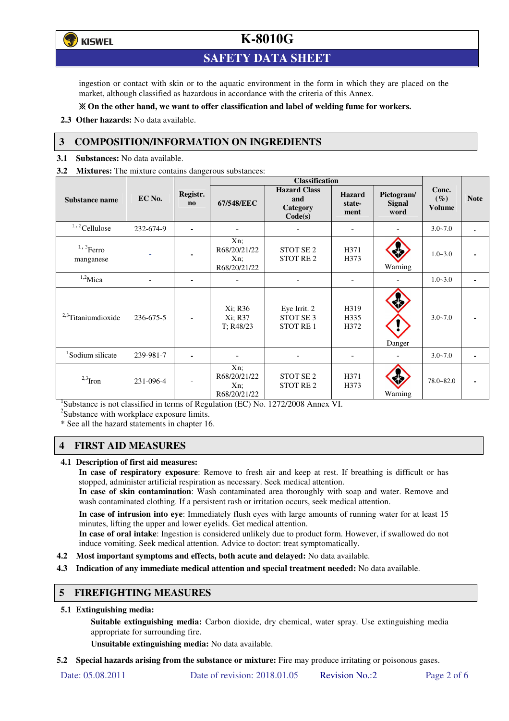**E** KISWEL

# **K-8010G**

## **SAFETY DATA SHEET**

ingestion or contact with skin or to the aquatic environment in the form in which they are placed on the market, although classified as hazardous in accordance with the criteria of this Annex.

### **On the other hand, we want to offer classification and label of welding fume for workers.**

**2.3 Other hazards:** No data available.

## **3 COMPOSITION/INFORMATION ON INGREDIENTS**

**3.1 Substances:** No data available.

**3.2 Mixtures:** The mixture contains dangerous substances:

|                                |                          |                          | <b>Classification</b>                            |                                                         |                                 |                              |                           |                |
|--------------------------------|--------------------------|--------------------------|--------------------------------------------------|---------------------------------------------------------|---------------------------------|------------------------------|---------------------------|----------------|
| <b>Substance name</b>          | EC No.                   | Registr.<br>$\mathbf{n}$ | 67/548/EEC                                       | <b>Hazard Class</b><br>and<br>Category<br>Code(s)       | <b>Hazard</b><br>state-<br>ment | Pictogram/<br>Signal<br>word | Conc.<br>$(\%)$<br>Volume | <b>Note</b>    |
| <sup>1,2</sup> Cellulose       | 232-674-9                | $\blacksquare$           |                                                  |                                                         |                                 |                              | $3.0 - 7.0$               | $\bullet$      |
| $1,3$ Ferro<br>manganese       |                          |                          | $Xn$ :<br>R68/20/21/22<br>$Xn$ :<br>R68/20/21/22 | STOT SE <sub>2</sub><br>STOT RE <sub>2</sub>            | H371<br>H373                    | Warning                      | $1.0 - 3.0$               |                |
| $1,2$ Mica                     | $\overline{\phantom{a}}$ | ٠                        | ۰                                                |                                                         |                                 |                              | $1.0 - 3.0$               | $\blacksquare$ |
| <sup>2,3</sup> Titaniumdioxide | 236-675-5                |                          | Xi; R36<br>Xi; R37<br>T; R48/23                  | Eye Irrit. 2<br>STOT SE <sub>3</sub><br><b>STOT RE1</b> | H319<br>H335<br>H372            | Danger                       | $3.0 - 7.0$               |                |
| <sup>1</sup> Sodium silicate   | 239-981-7                |                          |                                                  |                                                         | $\blacksquare$                  |                              | $3.0 - 7.0$               |                |
| $2,3$ Iron                     | 231-096-4                | $\overline{\phantom{a}}$ | $Xn$ :<br>R68/20/21/22<br>Xn;<br>R68/20/21/22    | STOT SE <sub>2</sub><br>STOT RE <sub>2</sub>            | H371<br>H373                    | Warning                      | $78.0 - 82.0$             | ۰              |

<sup>1</sup>Substance is not classified in terms of Regulation (EC) No. 1272/2008 Annex VI.

<sup>2</sup>Substance with workplace exposure limits.

\* See all the hazard statements in chapter 16.

## **4 FIRST AID MEASURES**

### **4.1 Description of first aid measures:**

**In case of respiratory exposure**: Remove to fresh air and keep at rest. If breathing is difficult or has stopped, administer artificial respiration as necessary. Seek medical attention.

**In case of skin contamination**: Wash contaminated area thoroughly with soap and water. Remove and wash contaminated clothing. If a persistent rash or irritation occurs, seek medical attention.

 **In case of intrusion into eye**: Immediately flush eyes with large amounts of running water for at least 15 minutes, lifting the upper and lower eyelids. Get medical attention.

**In case of oral intake**: Ingestion is considered unlikely due to product form. However, if swallowed do not induce vomiting. Seek medical attention. Advice to doctor: treat symptomatically.

- **4.2 Most important symptoms and effects, both acute and delayed:** No data available.
- **4.3 Indication of any immediate medical attention and special treatment needed:** No data available.

## **5 FIREFIGHTING MEASURES**

### **5.1 Extinguishing media:**

**Suitable extinguishing media:** Carbon dioxide, dry chemical, water spray. Use extinguishing media appropriate for surrounding fire.

**Unsuitable extinguishing media:** No data available.

**5.2 Special hazards arising from the substance or mixture:** Fire may produce irritating or poisonous gases.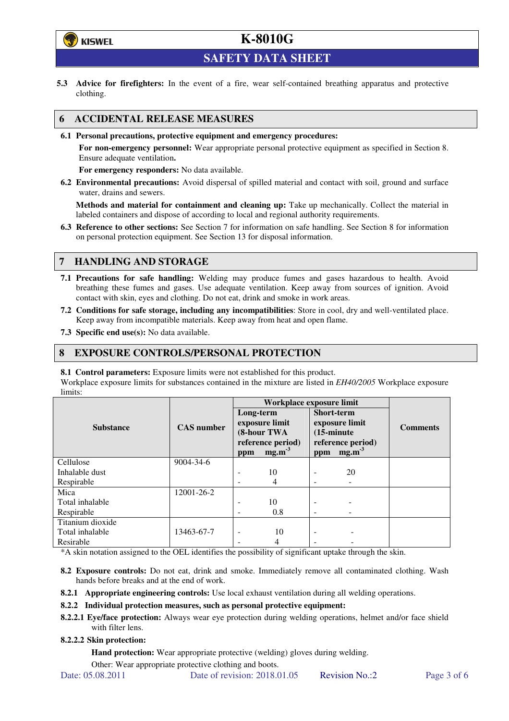# **E** KISWEL

# **K-8010G**

**SAFETY DATA SHEET** 

**5.3 Advice for firefighters:** In the event of a fire, wear self-contained breathing apparatus and protective clothing.

## **6 ACCIDENTAL RELEASE MEASURES**

**6.1 Personal precautions, protective equipment and emergency procedures:** 

**For non-emergency personnel:** Wear appropriate personal protective equipment as specified in Section 8. Ensure adequate ventilation**.** 

**For emergency responders:** No data available.

**6.2 Environmental precautions:** Avoid dispersal of spilled material and contact with soil, ground and surface water, drains and sewers.

**Methods and material for containment and cleaning up:** Take up mechanically. Collect the material in labeled containers and dispose of according to local and regional authority requirements.

**6.3 Reference to other sections:** See Section 7 for information on safe handling. See Section 8 for information on personal protection equipment. See Section 13 for disposal information.

## **7 HANDLING AND STORAGE**

- **7.1 Precautions for safe handling:** Welding may produce fumes and gases hazardous to health. Avoid breathing these fumes and gases. Use adequate ventilation. Keep away from sources of ignition. Avoid contact with skin, eyes and clothing. Do not eat, drink and smoke in work areas.
- **7.2 Conditions for safe storage, including any incompatibilities**: Store in cool, dry and well-ventilated place. Keep away from incompatible materials. Keep away from heat and open flame.
- **7.3 Specific end use(s):** No data available.

## **8 EXPOSURE CONTROLS/PERSONAL PROTECTION**

**8.1 Control parameters:** Exposure limits were not established for this product.

Workplace exposure limits for substances contained in the mixture are listed in *EH40/2005* Workplace exposure limits:

|                  |                   | Workplace exposure limit                                                           |     |                                                                                                       |    |                 |  |
|------------------|-------------------|------------------------------------------------------------------------------------|-----|-------------------------------------------------------------------------------------------------------|----|-----------------|--|
| <b>Substance</b> | <b>CAS</b> number | Long-term<br>exposure limit<br>(8-hour TWA<br>reference period)<br>$mg.m-3$<br>ppm |     | Short-term<br>exposure limit<br>$(15\text{-minute})$<br>reference period)<br>mg.m <sup>3</sup><br>ppm |    | <b>Comments</b> |  |
| Cellulose        | 9004-34-6         |                                                                                    |     |                                                                                                       |    |                 |  |
| Inhalable dust   |                   |                                                                                    | 10  |                                                                                                       | 20 |                 |  |
| Respirable       |                   |                                                                                    | 4   |                                                                                                       |    |                 |  |
| Mica             | 12001-26-2        |                                                                                    |     |                                                                                                       |    |                 |  |
| Total inhalable  |                   | $\overline{\phantom{0}}$                                                           | 10  | -                                                                                                     |    |                 |  |
| Respirable       |                   |                                                                                    | 0.8 |                                                                                                       |    |                 |  |
| Titanium dioxide |                   |                                                                                    |     |                                                                                                       |    |                 |  |
| Total inhalable  | 13463-67-7        |                                                                                    | 10  |                                                                                                       |    |                 |  |
| Resirable        |                   |                                                                                    | 4   |                                                                                                       |    |                 |  |

\*A skin notation assigned to the OEL identifies the possibility of significant uptake through the skin.

- **8.2 Exposure controls:** Do not eat, drink and smoke. Immediately remove all contaminated clothing. Wash hands before breaks and at the end of work.
- **8.2.1 Appropriate engineering controls:** Use local exhaust ventilation during all welding operations.

### **8.2.2 Individual protection measures, such as personal protective equipment:**

**8.2.2.1 Eye/face protection:** Always wear eye protection during welding operations, helmet and/or face shield with filter lens.

### **8.2.2.2 Skin protection:**

**Hand protection:** Wear appropriate protective (welding) gloves during welding.

Other: Wear appropriate protective clothing and boots.

Date: 05.08.2011 Date of revision: 2018.01.05 Revision No.:2 Page 3 of 6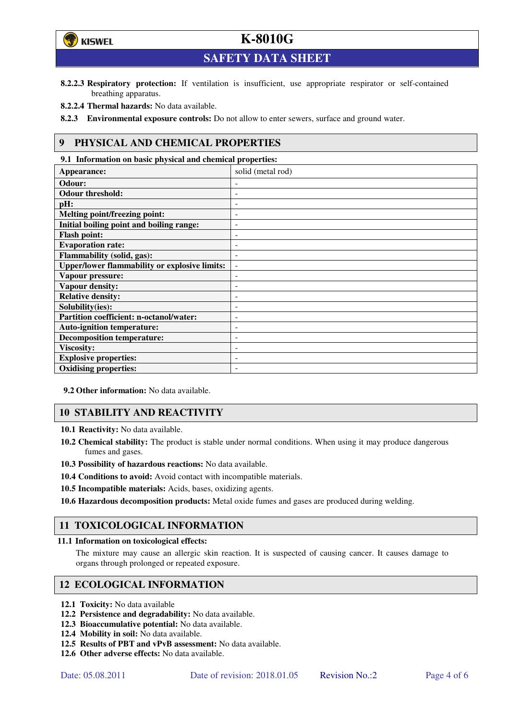# **K-8010G**



**SAFETY DATA SHEET** 

- **8.2.2.3 Respiratory protection:** If ventilation is insufficient, use appropriate respirator or self-contained breathing apparatus.
- **8.2.2.4 Thermal hazards:** No data available.

**8.2.3 Environmental exposure controls:** Do not allow to enter sewers, surface and ground water.

## **9 PHYSICAL AND CHEMICAL PROPERTIES**

**9.1 Information on basic physical and chemical properties: Appearance:** solid (metal rod) Odour: **Odour threshold: pH:**  $\qquad \qquad \qquad$ **Melting point/freezing point:** - **Initial boiling point and boiling range:** - **Flash point:**  $\qquad \qquad$ **Evaporation rate:**  $\qquad \qquad$ **Flammability (solid, gas):** - Upper/lower flammability or explosive limits:  $\vert$  -**Vapour pressure:** - **Vapour density:** - **Relative density:** - **Solubility(ies):** - **Partition coefficient: n-octanol/water:** - **Auto-ignition temperature:** - **Decomposition temperature:**  $\vert$  -**Viscosity:** - **Explosive properties: Oxidising properties:** -

**9.2 Other information:** No data available.

## **10 STABILITY AND REACTIVITY**

**10.1 Reactivity:** No data available.

- **10.2 Chemical stability:** The product is stable under normal conditions. When using it may produce dangerous fumes and gases.
- **10.3 Possibility of hazardous reactions:** No data available.
- **10.4 Conditions to avoid:** Avoid contact with incompatible materials.
- **10.5 Incompatible materials:** Acids, bases, oxidizing agents.

**10.6 Hazardous decomposition products:** Metal oxide fumes and gases are produced during welding.

## **11 TOXICOLOGICAL INFORMATION**

### **11.1 Information on toxicological effects:**

The mixture may cause an allergic skin reaction. It is suspected of causing cancer. It causes damage to organs through prolonged or repeated exposure.

## **12 ECOLOGICAL INFORMATION**

- **12.1 Toxicity:** No data available
- **12.2 Persistence and degradability:** No data available.
- **12.3 Bioaccumulative potential:** No data available.
- **12.4 Mobility in soil:** No data available.
- **12.5 Results of PBT and vPvB assessment:** No data available.
- **12.6 Other adverse effects:** No data available.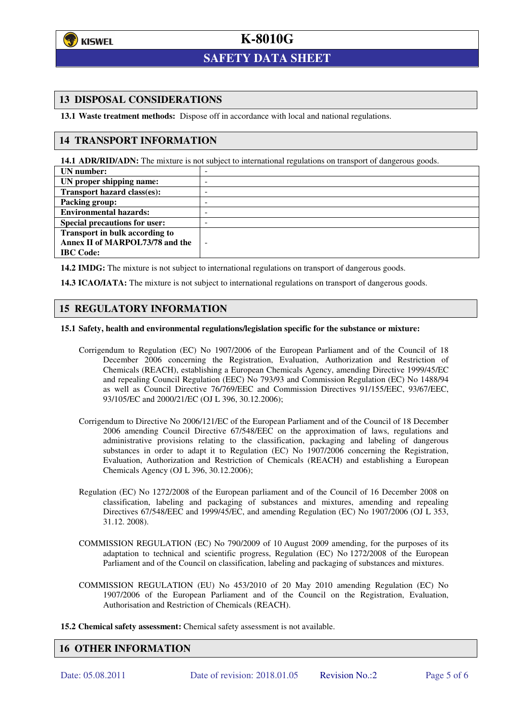

 $\overline{a}$ 

# **K-8010G**

# **SAFETY DATA SHEET**

## **13 DISPOSAL CONSIDERATIONS**

**13.1 Waste treatment methods:** Dispose off in accordance with local and national regulations.

### **14 TRANSPORT INFORMATION**

**14.1 ADR/RID/ADN:** The mixture is not subject to international regulations on transport of dangerous goods.

| UN number:                           | -      |
|--------------------------------------|--------|
| UN proper shipping name:             | -      |
| Transport hazard class(es):          | -      |
| Packing group:                       | -      |
| <b>Environmental hazards:</b>        | -      |
| <b>Special precautions for user:</b> |        |
| Transport in bulk according to       |        |
| Annex II of MARPOL73/78 and the      | $\sim$ |
| <b>IBC</b> Code:                     |        |

**14.2 IMDG:** The mixture is not subject to international regulations on transport of dangerous goods.

**14.3 ICAO/IATA:** The mixture is not subject to international regulations on transport of dangerous goods.

### **15 REGULATORY INFORMATION**

#### **15.1 Safety, health and environmental regulations/legislation specific for the substance or mixture:**

- Corrigendum to Regulation (EC) No 1907/2006 of the European Parliament and of the Council of 18 December 2006 concerning the Registration, Evaluation, Authorization and Restriction of Chemicals (REACH), establishing a European Chemicals Agency, amending Directive 1999/45/EC and repealing Council Regulation (EEC) No 793/93 and Commission Regulation (EC) No 1488/94 as well as Council Directive 76/769/EEC and Commission Directives 91/155/EEC, 93/67/EEC, 93/105/EC and 2000/21/EC (OJ L 396, 30.12.2006);
- Corrigendum to Directive No 2006/121/EC of the European Parliament and of the Council of 18 December 2006 amending Council Directive 67/548/EEC on the approximation of laws, regulations and administrative provisions relating to the classification, packaging and labeling of dangerous substances in order to adapt it to Regulation (EC) No 1907/2006 concerning the Registration, Evaluation, Authorization and Restriction of Chemicals (REACH) and establishing a European Chemicals Agency (OJ L 396, 30.12.2006);
- Regulation (EC) No 1272/2008 of the European parliament and of the Council of 16 December 2008 on classification, labeling and packaging of substances and mixtures, amending and repealing Directives 67/548/EEC and 1999/45/EC, and amending Regulation (EC) No 1907/2006 (OJ L 353, 31.12. 2008).
- COMMISSION REGULATION (EC) No 790/2009 of 10 August 2009 amending, for the purposes of its adaptation to technical and scientific progress, Regulation (EC) No 1272/2008 of the European Parliament and of the Council on classification, labeling and packaging of substances and mixtures.
- COMMISSION REGULATION (EU) No 453/2010 of 20 May 2010 amending Regulation (EC) No 1907/2006 of the European Parliament and of the Council on the Registration, Evaluation, Authorisation and Restriction of Chemicals (REACH).
- **15.2 Chemical safety assessment:** Chemical safety assessment is not available.

### **16 OTHER INFORMATION**